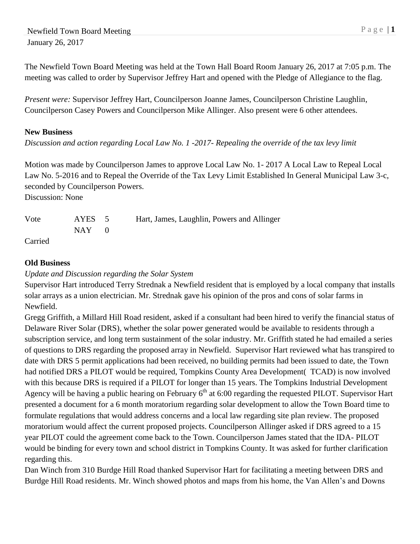The Newfield Town Board Meeting was held at the Town Hall Board Room January 26, 2017 at 7:05 p.m. The meeting was called to order by Supervisor Jeffrey Hart and opened with the Pledge of Allegiance to the flag.

*Present were:* Supervisor Jeffrey Hart, Councilperson Joanne James, Councilperson Christine Laughlin, Councilperson Casey Powers and Councilperson Mike Allinger. Also present were 6 other attendees.

## **New Business**

*Discussion and action regarding Local Law No. 1 -2017- Repealing the override of the tax levy limit*

Motion was made by Councilperson James to approve Local Law No. 1- 2017 A Local Law to Repeal Local Law No. 5-2016 and to Repeal the Override of the Tax Levy Limit Established In General Municipal Law 3-c, seconded by Councilperson Powers.

Discussion: None

| Vote    | AYES 5    | Hart, James, Laughlin, Powers and Allinger |
|---------|-----------|--------------------------------------------|
|         | $NAY = 0$ |                                            |
| Carried |           |                                            |

## **Old Business**

## *Update and Discussion regarding the Solar System*

Supervisor Hart introduced Terry Strednak a Newfield resident that is employed by a local company that installs solar arrays as a union electrician. Mr. Strednak gave his opinion of the pros and cons of solar farms in Newfield.

Gregg Griffith, a Millard Hill Road resident, asked if a consultant had been hired to verify the financial status of Delaware River Solar (DRS), whether the solar power generated would be available to residents through a subscription service, and long term sustainment of the solar industry. Mr. Griffith stated he had emailed a series of questions to DRS regarding the proposed array in Newfield. Supervisor Hart reviewed what has transpired to date with DRS 5 permit applications had been received, no building permits had been issued to date, the Town had notified DRS a PILOT would be required, Tompkins County Area Development( TCAD) is now involved with this because DRS is required if a PILOT for longer than 15 years. The Tompkins Industrial Development Agency will be having a public hearing on February  $6<sup>th</sup>$  at 6:00 regarding the requested PILOT. Supervisor Hart presented a document for a 6 month moratorium regarding solar development to allow the Town Board time to formulate regulations that would address concerns and a local law regarding site plan review. The proposed moratorium would affect the current proposed projects. Councilperson Allinger asked if DRS agreed to a 15 year PILOT could the agreement come back to the Town. Councilperson James stated that the IDA- PILOT would be binding for every town and school district in Tompkins County. It was asked for further clarification regarding this.

Dan Winch from 310 Burdge Hill Road thanked Supervisor Hart for facilitating a meeting between DRS and Burdge Hill Road residents. Mr. Winch showed photos and maps from his home, the Van Allen's and Downs